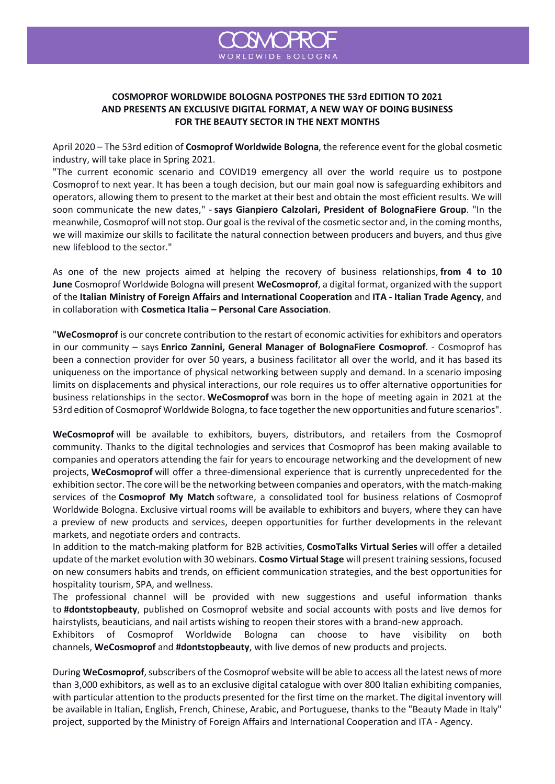

## **COSMOPROF WORLDWIDE BOLOGNA POSTPONES THE 53rd EDITION TO 2021 AND PRESENTS AN EXCLUSIVE DIGITAL FORMAT, A NEW WAY OF DOING BUSINESS FOR THE BEAUTY SECTOR IN THE NEXT MONTHS**

April 2020 – The 53rd edition of **Cosmoprof Worldwide Bologna**, the reference event for the global cosmetic industry, will take place in Spring 2021.

"The current economic scenario and COVID19 emergency all over the world require us to postpone Cosmoprof to next year. It has been a tough decision, but our main goal now is safeguarding exhibitors and operators, allowing them to present to the market at their best and obtain the most efficient results. We will soon communicate the new dates," - **says Gianpiero Calzolari, President of BolognaFiere Group**. "In the meanwhile, Cosmoprof will not stop. Our goal is the revival of the cosmetic sector and, in the coming months, we will maximize our skills to facilitate the natural connection between producers and buyers, and thus give new lifeblood to the sector."

As one of the new projects aimed at helping the recovery of business relationships, **from 4 to 10 June** Cosmoprof Worldwide Bologna will present **WeCosmoprof**, a digital format, organized with the support of the **Italian Ministry of Foreign Affairs and International Cooperation** and **ITA - Italian Trade Agency**, and in collaboration with **Cosmetica Italia – Personal Care Association**.

"**WeCosmoprof** is our concrete contribution to the restart of economic activities for exhibitors and operators in our community – says **Enrico Zannini, General Manager of BolognaFiere Cosmoprof**. - Cosmoprof has been a connection provider for over 50 years, a business facilitator all over the world, and it has based its uniqueness on the importance of physical networking between supply and demand. In a scenario imposing limits on displacements and physical interactions, our role requires us to offer alternative opportunities for business relationships in the sector. **WeCosmoprof** was born in the hope of meeting again in 2021 at the 53rd edition of Cosmoprof Worldwide Bologna, to face together the new opportunities and future scenarios".

**WeCosmoprof** will be available to exhibitors, buyers, distributors, and retailers from the Cosmoprof community. Thanks to the digital technologies and services that Cosmoprof has been making available to companies and operators attending the fair for years to encourage networking and the development of new projects, **WeCosmoprof** will offer a three-dimensional experience that is currently unprecedented for the exhibition sector. The core will be the networking between companies and operators, with the match-making services of the **Cosmoprof My Match** software, a consolidated tool for business relations of Cosmoprof Worldwide Bologna. Exclusive virtual rooms will be available to exhibitors and buyers, where they can have a preview of new products and services, deepen opportunities for further developments in the relevant markets, and negotiate orders and contracts.

In addition to the match-making platform for B2B activities, **CosmoTalks Virtual Series** will offer a detailed update of the market evolution with 30 webinars. **Cosmo Virtual Stage** will present training sessions, focused on new consumers habits and trends, on efficient communication strategies, and the best opportunities for hospitality tourism, SPA, and wellness.

The professional channel will be provided with new suggestions and useful information thanks to **#dontstopbeauty**, published on Cosmoprof website and social accounts with posts and live demos for hairstylists, beauticians, and nail artists wishing to reopen their stores with a brand-new approach.

Exhibitors of Cosmoprof Worldwide Bologna can choose to have visibility on both channels, **WeCosmoprof** and **#dontstopbeauty**, with live demos of new products and projects.

During **WeCosmoprof**, subscribers of the Cosmoprof website will be able to access all the latest news of more than 3,000 exhibitors, as well as to an exclusive digital catalogue with over 800 Italian exhibiting companies, with particular attention to the products presented for the first time on the market. The digital inventory will be available in Italian, English, French, Chinese, Arabic, and Portuguese, thanks to the "Beauty Made in Italy" project, supported by the Ministry of Foreign Affairs and International Cooperation and ITA - Agency.